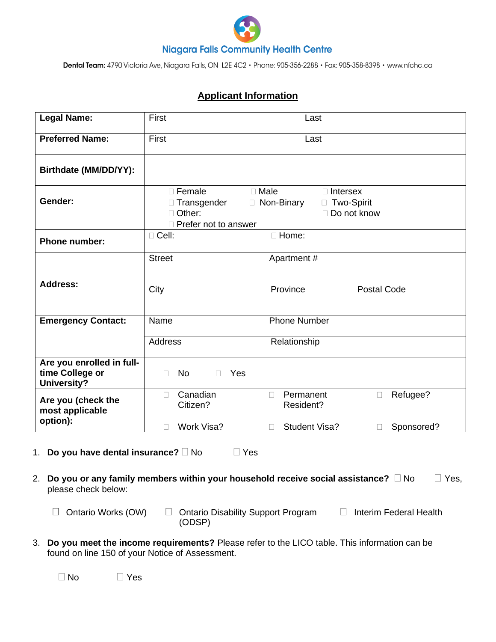

Dental Team: 4790 Victoria Ave, Niagara Falls, ON L2E 4C2 · Phone: 905-356-2288 · Fax: 905-358-8398 · www.nfchc.ca

## **Applicant Information**

| <b>Legal Name:</b>                                                 | First                                                                                | Last                                                                               |                    |
|--------------------------------------------------------------------|--------------------------------------------------------------------------------------|------------------------------------------------------------------------------------|--------------------|
| <b>Preferred Name:</b>                                             | First<br>Last                                                                        |                                                                                    |                    |
| Birthdate (MM/DD/YY):                                              |                                                                                      |                                                                                    |                    |
| Gender:                                                            | $\Box$ Female<br>□ Transgender<br>$\Box$<br>Other:<br>$\Box$<br>Prefer not to answer | $\Box$ Male<br>$\Box$ Intersex<br>Non-Binary<br>□ Two-Spirit<br>$\Box$ Do not know |                    |
| <b>Phone number:</b>                                               | □ Cell:                                                                              | □ Home:                                                                            |                    |
| <b>Address:</b>                                                    | <b>Street</b>                                                                        | Apartment #                                                                        |                    |
|                                                                    | City                                                                                 | Province                                                                           | <b>Postal Code</b> |
| <b>Emergency Contact:</b>                                          | Name<br><b>Phone Number</b>                                                          |                                                                                    |                    |
|                                                                    | <b>Address</b><br>Relationship                                                       |                                                                                    |                    |
| Are you enrolled in full-<br>time College or<br><b>University?</b> | <b>No</b><br>Yes<br>$\Box$<br>П                                                      |                                                                                    |                    |
| Are you (check the<br>most applicable                              | Canadian<br>$\Box$<br>Citizen?                                                       | Permanent<br>$\Box$<br>Resident?                                                   | Refugee?<br>$\Box$ |
| option):                                                           | Work Visa?<br>П                                                                      | <b>Student Visa?</b><br>П                                                          | Sponsored?<br>П    |

- 1. **Do you have dental insurance?**  $\Box$  No  $\Box$  Yes
- 2. **Do you or any family members within your household receive social assistance?**  $\Box$  No  $\Box$  Yes, please check below:
	-

 $\Box$  Ontario Works (OW)  $\Box$  Ontario Disability Support Program (ODSP)

 $\Box$  Interim Federal Health

3. **Do you meet the income requirements?** Please refer to the LICO table. This information can be found on line 150 of your Notice of Assessment.

 $\Box$  No  $\Box$  Yes